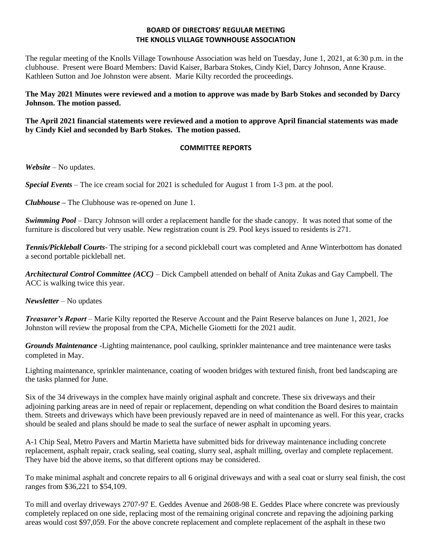## **BOARD OF DIRECTORS' REGULAR MEETING THE KNOLLS VILLAGE TOWNHOUSE ASSOCIATION**

The regular meeting of the Knolls Village Townhouse Association was held on Tuesday, June 1, 2021, at 6:30 p.m. in the clubhouse. Present were Board Members: David Kaiser, Barbara Stokes, Cindy Kiel, Darcy Johnson, Anne Krause. Kathleen Sutton and Joe Johnston were absent. Marie Kilty recorded the proceedings.

**The May 2021 Minutes were reviewed and a motion to approve was made by Barb Stokes and seconded by Darcy Johnson. The motion passed.**

**The April 2021 financial statements were reviewed and a motion to approve April financial statements was made by Cindy Kiel and seconded by Barb Stokes. The motion passed.**

# **COMMITTEE REPORTS**

*Website –* No updates.

*Special Events* – The ice cream social for 2021 is scheduled for August 1 from 1-3 pm. at the pool.

*Clubhouse* **–** The Clubhouse was re-opened on June 1.

*Swimming Pool* – Darcy Johnson will order a replacement handle for the shade canopy. It was noted that some of the furniture is discolored but very usable. New registration count is 29. Pool keys issued to residents is 271.

*Tennis/Pickleball Courts*- The striping for a second pickleball court was completed and Anne Winterbottom has donated a second portable pickleball net.

*Architectural Control Committee (ACC)* – Dick Campbell attended on behalf of Anita Zukas and Gay Campbell. The ACC is walking twice this year.

*Newsletter* – No updates

*Treasurer's Report* – Marie Kilty reported the Reserve Account and the Paint Reserve balances on June 1, 2021, Joe Johnston will review the proposal from the CPA, Michelle Giometti for the 2021 audit.

*Grounds Maintenance -*Lighting maintenance, pool caulking, sprinkler maintenance and tree maintenance were tasks completed in May.

Lighting maintenance, sprinkler maintenance, coating of wooden bridges with textured finish, front bed landscaping are the tasks planned for June.

Six of the 34 driveways in the complex have mainly original asphalt and concrete. These six driveways and their adjoining parking areas are in need of repair or replacement, depending on what condition the Board desires to maintain them. Streets and driveways which have been previously repaved are in need of maintenance as well. For this year, cracks should be sealed and plans should be made to seal the surface of newer asphalt in upcoming years.

A-1 Chip Seal, Metro Pavers and Martin Marietta have submitted bids for driveway maintenance including concrete replacement, asphalt repair, crack sealing, seal coating, slurry seal, asphalt milling, overlay and complete replacement. They have bid the above items, so that different options may be considered.

To make minimal asphalt and concrete repairs to all 6 original driveways and with a seal coat or slurry seal finish, the cost ranges from \$36,221 to \$54,109.

To mill and overlay driveways 2707-97 E. Geddes Avenue and 2608-98 E. Geddes Place where concrete was previously completely replaced on one side, replacing most of the remaining original concrete and repaving the adjoining parking areas would cost \$97,059. For the above concrete replacement and complete replacement of the asphalt in these two